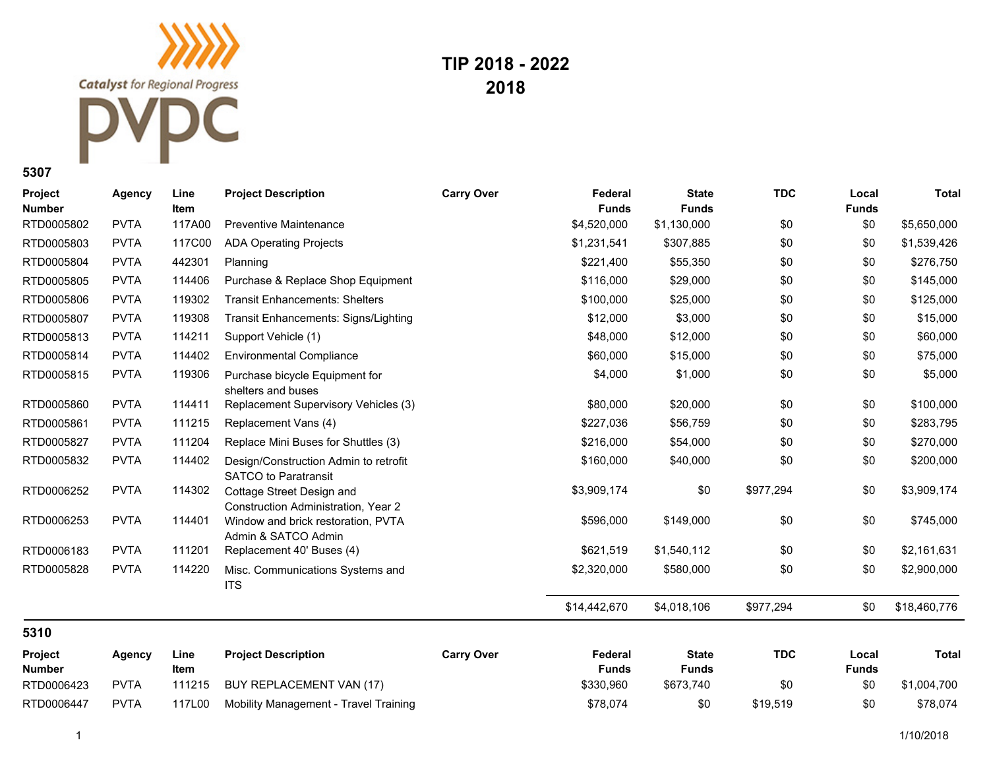**Catalyst** for Regional Progress

## C

**TIP 2018 - 2022 2018**

**5307**

| Project<br><b>Number</b> | <b>Agency</b> | Line<br>Item | <b>Project Description</b>                                           | <b>Carry Over</b> | Federal<br><b>Funds</b> | <b>State</b><br><b>Funds</b> | <b>TDC</b> | Local<br><b>Funds</b> | <b>Total</b> |
|--------------------------|---------------|--------------|----------------------------------------------------------------------|-------------------|-------------------------|------------------------------|------------|-----------------------|--------------|
| RTD0005802               | <b>PVTA</b>   | 117A00       | <b>Preventive Maintenance</b>                                        |                   | \$4,520,000             | \$1,130,000                  | \$0        | \$0                   | \$5,650,000  |
| RTD0005803               | <b>PVTA</b>   | 117C00       | <b>ADA Operating Projects</b>                                        |                   | \$1,231,541             | \$307,885                    | \$0        | \$0                   | \$1,539,426  |
| RTD0005804               | <b>PVTA</b>   | 442301       | Planning                                                             |                   | \$221,400               | \$55,350                     | \$0        | \$0                   | \$276,750    |
| RTD0005805               | <b>PVTA</b>   | 114406       | Purchase & Replace Shop Equipment                                    |                   | \$116,000               | \$29,000                     | \$0        | \$0                   | \$145,000    |
| RTD0005806               | <b>PVTA</b>   | 119302       | <b>Transit Enhancements: Shelters</b>                                |                   | \$100.000               | \$25,000                     | \$0        | \$0                   | \$125,000    |
| RTD0005807               | <b>PVTA</b>   | 119308       | Transit Enhancements: Signs/Lighting                                 |                   | \$12,000                | \$3,000                      | \$0        | \$0                   | \$15,000     |
| RTD0005813               | <b>PVTA</b>   | 114211       | Support Vehicle (1)                                                  |                   | \$48,000                | \$12,000                     | \$0        | \$0                   | \$60,000     |
| RTD0005814               | <b>PVTA</b>   | 114402       | <b>Environmental Compliance</b>                                      |                   | \$60,000                | \$15,000                     | \$0        | \$0                   | \$75,000     |
| RTD0005815               | <b>PVTA</b>   | 119306       | Purchase bicycle Equipment for<br>shelters and buses                 |                   | \$4,000                 | \$1,000                      | \$0        | \$0                   | \$5,000      |
| RTD0005860               | <b>PVTA</b>   | 114411       | Replacement Supervisory Vehicles (3)                                 |                   | \$80,000                | \$20,000                     | \$0        | \$0                   | \$100,000    |
| RTD0005861               | <b>PVTA</b>   | 111215       | Replacement Vans (4)                                                 |                   | \$227,036               | \$56,759                     | \$0        | \$0                   | \$283,795    |
| RTD0005827               | <b>PVTA</b>   | 111204       | Replace Mini Buses for Shuttles (3)                                  |                   | \$216,000               | \$54,000                     | \$0        | \$0                   | \$270,000    |
| RTD0005832               | <b>PVTA</b>   | 114402       | Design/Construction Admin to retrofit<br><b>SATCO to Paratransit</b> |                   | \$160,000               | \$40,000                     | \$0        | \$0                   | \$200,000    |
| RTD0006252               | <b>PVTA</b>   | 114302       | Cottage Street Design and<br>Construction Administration, Year 2     |                   | \$3,909,174             | \$0                          | \$977,294  | \$0                   | \$3,909,174  |
| RTD0006253               | <b>PVTA</b>   | 114401       | Window and brick restoration, PVTA<br>Admin & SATCO Admin            |                   | \$596,000               | \$149,000                    | \$0        | \$0                   | \$745,000    |
| RTD0006183               | <b>PVTA</b>   | 111201       | Replacement 40' Buses (4)                                            |                   | \$621,519               | \$1,540,112                  | \$0        | \$0                   | \$2,161,631  |
| RTD0005828               | <b>PVTA</b>   | 114220       | Misc. Communications Systems and<br><b>ITS</b>                       |                   | \$2,320,000             | \$580,000                    | \$0        | \$0                   | \$2,900,000  |
|                          |               |              |                                                                      |                   | \$14,442,670            | \$4,018,106                  | \$977,294  | \$0                   | \$18,460,776 |
| 5310                     |               |              |                                                                      |                   |                         |                              |            |                       |              |
| Project<br><b>Number</b> | <b>Agency</b> | Line<br>Item | <b>Project Description</b>                                           | <b>Carry Over</b> | Federal<br><b>Funds</b> | <b>State</b><br><b>Funds</b> | <b>TDC</b> | Local<br><b>Funds</b> | Total        |
| RTD0006423               | <b>PVTA</b>   | 111215       | BUY REPLACEMENT VAN (17)                                             |                   | \$330,960               | \$673,740                    | \$0        | \$0                   | \$1,004,700  |
| RTD0006447               | <b>PVTA</b>   | 117L00       | Mobility Management - Travel Training                                |                   | \$78,074                | \$0                          | \$19,519   | \$0                   | \$78,074     |